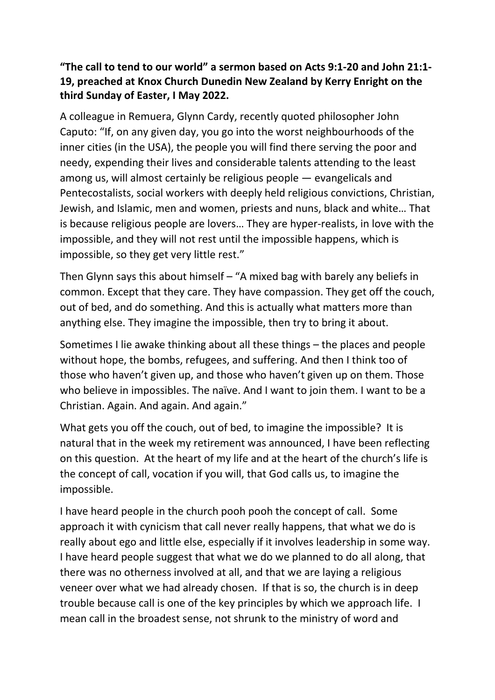## "The call to tend to our world" a sermon based on Acts 9:1-20 and John 21:1- 19, preached at Knox Church Dunedin New Zealand by Kerry Enright on the third Sunday of Easter, I May 2022.

A colleague in Remuera, Glynn Cardy, recently quoted philosopher John Caputo: "If, on any given day, you go into the worst neighbourhoods of the inner cities (in the USA), the people you will find there serving the poor and needy, expending their lives and considerable talents attending to the least among us, will almost certainly be religious people — evangelicals and Pentecostalists, social workers with deeply held religious convictions, Christian, Jewish, and Islamic, men and women, priests and nuns, black and white… That is because religious people are lovers… They are hyper-realists, in love with the impossible, and they will not rest until the impossible happens, which is impossible, so they get very little rest."

Then Glynn says this about himself – "A mixed bag with barely any beliefs in common. Except that they care. They have compassion. They get off the couch, out of bed, and do something. And this is actually what matters more than anything else. They imagine the impossible, then try to bring it about.

Sometimes I lie awake thinking about all these things – the places and people without hope, the bombs, refugees, and suffering. And then I think too of those who haven't given up, and those who haven't given up on them. Those who believe in impossibles. The naïve. And I want to join them. I want to be a Christian. Again. And again. And again."

What gets you off the couch, out of bed, to imagine the impossible? It is natural that in the week my retirement was announced, I have been reflecting on this question. At the heart of my life and at the heart of the church's life is the concept of call, vocation if you will, that God calls us, to imagine the impossible.

I have heard people in the church pooh pooh the concept of call. Some approach it with cynicism that call never really happens, that what we do is really about ego and little else, especially if it involves leadership in some way. I have heard people suggest that what we do we planned to do all along, that there was no otherness involved at all, and that we are laying a religious veneer over what we had already chosen. If that is so, the church is in deep trouble because call is one of the key principles by which we approach life. I mean call in the broadest sense, not shrunk to the ministry of word and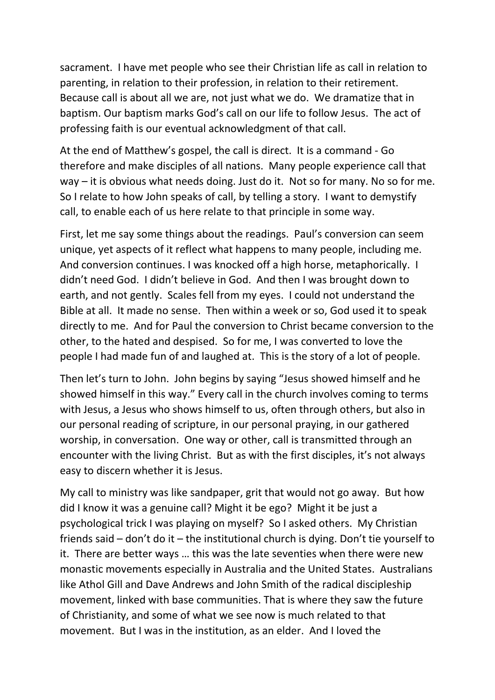sacrament. I have met people who see their Christian life as call in relation to parenting, in relation to their profession, in relation to their retirement. Because call is about all we are, not just what we do. We dramatize that in baptism. Our baptism marks God's call on our life to follow Jesus. The act of professing faith is our eventual acknowledgment of that call.

At the end of Matthew's gospel, the call is direct. It is a command - Go therefore and make disciples of all nations. Many people experience call that way – it is obvious what needs doing. Just do it. Not so for many. No so for me. So I relate to how John speaks of call, by telling a story. I want to demystify call, to enable each of us here relate to that principle in some way.

First, let me say some things about the readings. Paul's conversion can seem unique, yet aspects of it reflect what happens to many people, including me. And conversion continues. I was knocked off a high horse, metaphorically. I didn't need God. I didn't believe in God. And then I was brought down to earth, and not gently. Scales fell from my eyes. I could not understand the Bible at all. It made no sense. Then within a week or so, God used it to speak directly to me. And for Paul the conversion to Christ became conversion to the other, to the hated and despised. So for me, I was converted to love the people I had made fun of and laughed at. This is the story of a lot of people.

Then let's turn to John. John begins by saying "Jesus showed himself and he showed himself in this way." Every call in the church involves coming to terms with Jesus, a Jesus who shows himself to us, often through others, but also in our personal reading of scripture, in our personal praying, in our gathered worship, in conversation. One way or other, call is transmitted through an encounter with the living Christ. But as with the first disciples, it's not always easy to discern whether it is Jesus.

My call to ministry was like sandpaper, grit that would not go away. But how did I know it was a genuine call? Might it be ego? Might it be just a psychological trick I was playing on myself? So I asked others. My Christian friends said – don't do it – the institutional church is dying. Don't tie yourself to it. There are better ways … this was the late seventies when there were new monastic movements especially in Australia and the United States. Australians like Athol Gill and Dave Andrews and John Smith of the radical discipleship movement, linked with base communities. That is where they saw the future of Christianity, and some of what we see now is much related to that movement. But I was in the institution, as an elder. And I loved the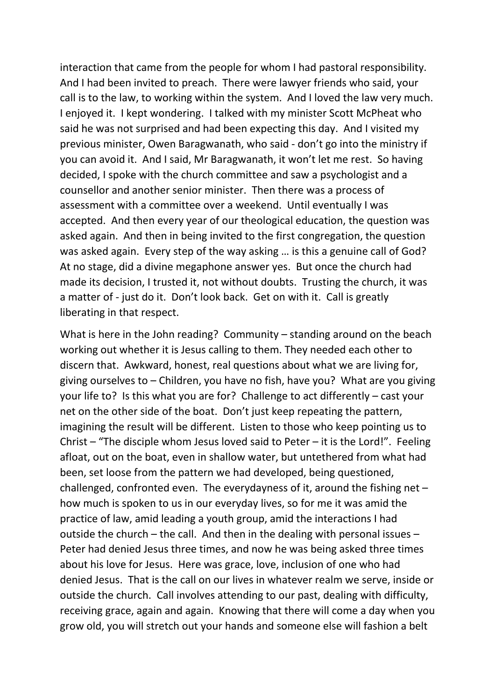interaction that came from the people for whom I had pastoral responsibility. And I had been invited to preach. There were lawyer friends who said, your call is to the law, to working within the system. And I loved the law very much. I enjoyed it. I kept wondering. I talked with my minister Scott McPheat who said he was not surprised and had been expecting this day. And I visited my previous minister, Owen Baragwanath, who said - don't go into the ministry if you can avoid it. And I said, Mr Baragwanath, it won't let me rest. So having decided, I spoke with the church committee and saw a psychologist and a counsellor and another senior minister. Then there was a process of assessment with a committee over a weekend. Until eventually I was accepted. And then every year of our theological education, the question was asked again. And then in being invited to the first congregation, the question was asked again. Every step of the way asking … is this a genuine call of God? At no stage, did a divine megaphone answer yes. But once the church had made its decision, I trusted it, not without doubts. Trusting the church, it was a matter of - just do it. Don't look back. Get on with it. Call is greatly liberating in that respect.

What is here in the John reading? Community – standing around on the beach working out whether it is Jesus calling to them. They needed each other to discern that. Awkward, honest, real questions about what we are living for, giving ourselves to – Children, you have no fish, have you? What are you giving your life to? Is this what you are for? Challenge to act differently – cast your net on the other side of the boat. Don't just keep repeating the pattern, imagining the result will be different. Listen to those who keep pointing us to Christ – "The disciple whom Jesus loved said to Peter – it is the Lord!". Feeling afloat, out on the boat, even in shallow water, but untethered from what had been, set loose from the pattern we had developed, being questioned, challenged, confronted even. The everydayness of it, around the fishing net – how much is spoken to us in our everyday lives, so for me it was amid the practice of law, amid leading a youth group, amid the interactions I had outside the church – the call. And then in the dealing with personal issues – Peter had denied Jesus three times, and now he was being asked three times about his love for Jesus. Here was grace, love, inclusion of one who had denied Jesus. That is the call on our lives in whatever realm we serve, inside or outside the church. Call involves attending to our past, dealing with difficulty, receiving grace, again and again. Knowing that there will come a day when you grow old, you will stretch out your hands and someone else will fashion a belt